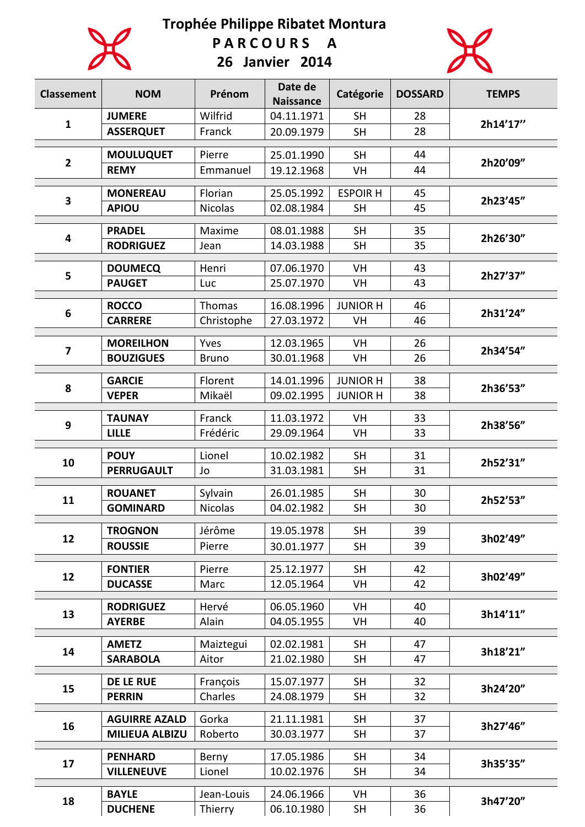

## **Trophée Philippe Ribatet Montura P A R C O U R S A**

**26 Janvier 2014** 



| <b>Classement</b> | <b>NOM</b>                        | Prénom               | Date de<br><b>Naissance</b> | Catégorie              | <b>DOSSARD</b> | <b>TEMPS</b> |
|-------------------|-----------------------------------|----------------------|-----------------------------|------------------------|----------------|--------------|
|                   | <b>JUMERE</b>                     | Wilfrid              | 04.11.1971                  | <b>SH</b>              | 28             |              |
| $\mathbf{1}$      | <b>ASSERQUET</b>                  | Franck               | 20.09.1979                  | <b>SH</b>              | 28             | 2h14'17"     |
|                   | <b>MOULUQUET</b>                  | Pierre               | 25.01.1990                  | <b>SH</b>              | 44             |              |
| 2                 | <b>REMY</b>                       | Emmanuel             | 19.12.1968                  | VH                     | 44             | 2h20'09"     |
|                   | <b>MONEREAU</b>                   | Florian              | 25.05.1992                  | <b>ESPOIR H</b>        | 45             |              |
| 3                 | <b>APIOU</b>                      | <b>Nicolas</b>       | 02.08.1984                  | <b>SH</b>              | 45             | 2h23'45"     |
|                   |                                   |                      |                             |                        |                |              |
| 4                 | <b>PRADEL</b><br><b>RODRIGUEZ</b> | Maxime<br>Jean       | 08.01.1988<br>14.03.1988    | <b>SH</b><br><b>SH</b> | 35<br>35       | 2h26'30"     |
|                   |                                   |                      |                             |                        |                |              |
| 5                 | <b>DOUMECQ</b>                    | Henri                | 07.06.1970                  | VH                     | 43             | 2h27'37"     |
|                   | <b>PAUGET</b>                     | Luc                  | 25.07.1970                  | VH                     | 43             |              |
|                   | <b>ROCCO</b>                      | Thomas               | 16.08.1996                  | <b>JUNIOR H</b>        | 46             |              |
| 6                 | <b>CARRERE</b>                    | Christophe           | 27.03.1972                  | VH                     | 46             | 2h31'24"     |
|                   | <b>MOREILHON</b>                  |                      | 12.03.1965                  | VH                     | 26             |              |
| 7                 | <b>BOUZIGUES</b>                  | Yves<br><b>Bruno</b> | 30.01.1968                  | VH                     | 26             | 2h34'54"     |
|                   |                                   |                      |                             |                        |                |              |
| 8                 | <b>GARCIE</b>                     | Florent              | 14.01.1996                  | <b>JUNIOR H</b>        | 38             | 2h36'53"     |
|                   | <b>VEPER</b>                      | Mikaël               | 09.02.1995                  | <b>JUNIOR H</b>        | 38             |              |
| 9                 | <b>TAUNAY</b>                     | Franck               | 11.03.1972                  | VH                     | 33             |              |
|                   | <b>LILLE</b>                      | Frédéric             | 29.09.1964                  | VH                     | 33             | 2h38'56"     |
|                   | <b>POUY</b>                       | Lionel               | 10.02.1982                  | <b>SH</b>              | 31             |              |
| 10                | <b>PERRUGAULT</b>                 | Jo                   | 31.03.1981                  | <b>SH</b>              | 31             | 2h52'31"     |
|                   |                                   |                      |                             |                        |                |              |
| 11                | <b>ROUANET</b>                    | Sylvain              | 26.01.1985                  | <b>SH</b>              | 30             | 2h52'53"     |
|                   | <b>GOMINARD</b>                   | <b>Nicolas</b>       | 04.02.1982                  | <b>SH</b>              | 30             |              |
|                   | <b>TROGNON</b>                    | Jérôme               | 19.05.1978                  | <b>SH</b>              | 39             |              |
| 12                | <b>ROUSSIE</b>                    | Pierre               | 30.01.1977                  | <b>SH</b>              | 39             | 3h02'49"     |
|                   | <b>FONTIER</b>                    | Pierre               | 25.12.1977                  | <b>SH</b>              | 42             |              |
| 12                | <b>DUCASSE</b>                    | Marc                 | 12.05.1964                  | VH                     | 42             | 3h02'49"     |
|                   |                                   |                      |                             |                        |                |              |
| 13                | <b>RODRIGUEZ</b>                  | Hervé                | 06.05.1960                  | VH                     | 40             | 3h14'11"     |
|                   | <b>AYERBE</b>                     | Alain                | 04.05.1955                  | VH                     | 40             |              |
|                   | <b>AMETZ</b>                      | Maiztegui            | 02.02.1981                  | <b>SH</b>              | 47             |              |
| 14                | <b>SARABOLA</b>                   | Aitor                | 21.02.1980                  | <b>SH</b>              | 47             | 3h18'21"     |
|                   | DE LE RUE                         | François             | 15.07.1977                  | <b>SH</b>              | 32             |              |
| 15                | <b>PERRIN</b>                     | Charles              | 24.08.1979                  | <b>SH</b>              | 32             | 3h24'20"     |
|                   |                                   |                      |                             |                        |                |              |
| 16                | <b>AGUIRRE AZALD</b>              | Gorka                | 21.11.1981                  | <b>SH</b>              | 37             | 3h27'46"     |
|                   | <b>MILIEUA ALBIZU</b>             | Roberto              | 30.03.1977                  | <b>SH</b>              | 37             |              |
|                   | <b>PENHARD</b>                    | Berny                | 17.05.1986                  | <b>SH</b>              | 34             |              |
| 17                | <b>VILLENEUVE</b>                 | Lionel               | 10.02.1976                  | <b>SH</b>              | 34             | 3h35'35"     |
|                   | <b>BAYLE</b>                      | Jean-Louis           | 24.06.1966                  | VH                     | 36             |              |
| 18                | <b>DUCHENE</b>                    | Thierry              | 06.10.1980                  | <b>SH</b>              | 36             | 3h47'20"     |
|                   |                                   |                      |                             |                        |                |              |